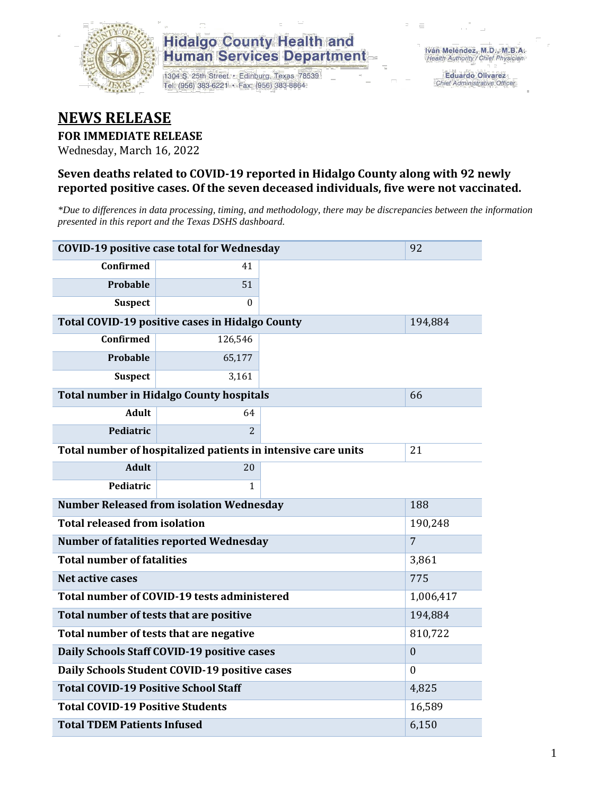

### **Hidalgo County Health and Human Services Department**

1304 S. 25th Street · Edinburg, Texas 78539 Tel: (956) 383-6221 · Fax: (956) 383-8864

**Eduardo Olivarez** Chief Administrative Officer

## **NEWS RELEASE**

#### **FOR IMMEDIATE RELEASE**

Wednesday, March 16, 2022

#### **Seven deaths related to COVID-19 reported in Hidalgo County along with 92 newly reported positive cases. Of the seven deceased individuals, five were not vaccinated.**

*\*Due to differences in data processing, timing, and methodology, there may be discrepancies between the information presented in this report and the Texas DSHS dashboard.*

| <b>COVID-19 positive case total for Wednesday</b>             | 92             |         |  |
|---------------------------------------------------------------|----------------|---------|--|
| <b>Confirmed</b>                                              | 41             |         |  |
| Probable                                                      | 51             |         |  |
| <b>Suspect</b>                                                | $\Omega$       |         |  |
| Total COVID-19 positive cases in Hidalgo County               |                | 194,884 |  |
| Confirmed                                                     | 126,546        |         |  |
| Probable                                                      | 65,177         |         |  |
| <b>Suspect</b>                                                | 3,161          |         |  |
| <b>Total number in Hidalgo County hospitals</b>               |                | 66      |  |
| <b>Adult</b>                                                  | 64             |         |  |
| Pediatric                                                     | $\overline{2}$ |         |  |
| Total number of hospitalized patients in intensive care units | 21             |         |  |
| <b>Adult</b>                                                  | 20             |         |  |
| Pediatric                                                     | 1              |         |  |
| <b>Number Released from isolation Wednesday</b>               | 188            |         |  |
| <b>Total released from isolation</b>                          | 190,248        |         |  |
| <b>Number of fatalities reported Wednesday</b>                | $\overline{7}$ |         |  |
| <b>Total number of fatalities</b>                             | 3,861          |         |  |
| Net active cases                                              | 775            |         |  |
| Total number of COVID-19 tests administered                   | 1,006,417      |         |  |
| Total number of tests that are positive                       | 194,884        |         |  |
| Total number of tests that are negative                       | 810,722        |         |  |
| Daily Schools Staff COVID-19 positive cases                   | $\mathbf{0}$   |         |  |
| Daily Schools Student COVID-19 positive cases                 | $\Omega$       |         |  |
| <b>Total COVID-19 Positive School Staff</b>                   | 4,825          |         |  |
| <b>Total COVID-19 Positive Students</b>                       | 16,589         |         |  |
| <b>Total TDEM Patients Infused</b>                            | 6,150          |         |  |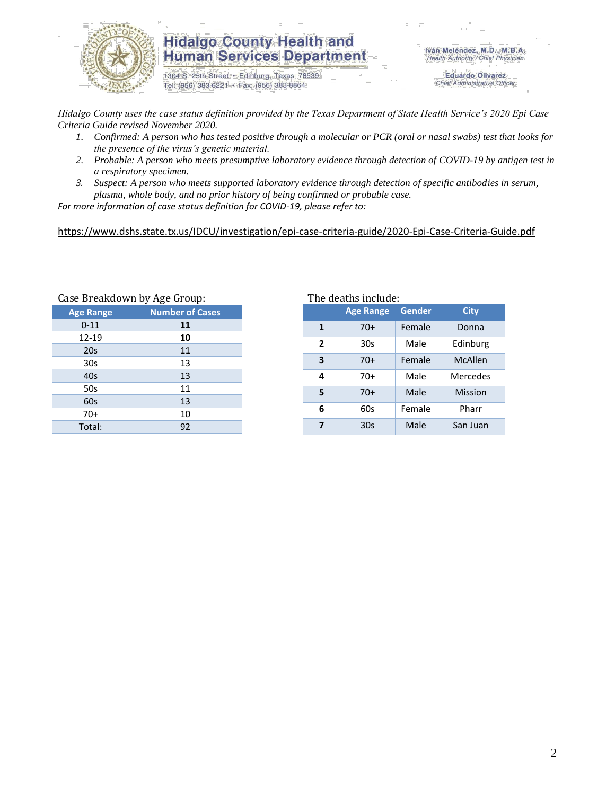

#### **Hidalgo County Health and Human Services Department**

1304 S. 25th Street · Edinburg, Texas 78539 Tel: (956) 383-6221 · Fax: (956) 383-8864

Iván Meléndez, M.D., M.B.A. Health Authority / Chief Physician

> **Eduardo Olivarez** Chief Administrative Officer

*Hidalgo County uses the case status definition provided by the Texas Department of State Health Service's 2020 Epi Case Criteria Guide revised November 2020.*

- *1. Confirmed: A person who has tested positive through a molecular or PCR (oral or nasal swabs) test that looks for the presence of the virus's genetic material.*
- *2. Probable: A person who meets presumptive laboratory evidence through detection of COVID-19 by antigen test in a respiratory specimen.*
- *3. Suspect: A person who meets supported laboratory evidence through detection of specific antibodies in serum, plasma, whole body, and no prior history of being confirmed or probable case.*

*For more information of case status definition for COVID-19, please refer to:*

<https://www.dshs.state.tx.us/IDCU/investigation/epi-case-criteria-guide/2020-Epi-Case-Criteria-Guide.pdf>

| Case Breakdown by Age Group: |                        | The deaths include: |                  |
|------------------------------|------------------------|---------------------|------------------|
| <b>Age Range</b>             | <b>Number of Cases</b> |                     | <b>Age Range</b> |
| $0 - 11$                     | 11                     | 1                   | $70+$            |
| 12-19                        | 10                     | $\mathbf{2}$        | 30s              |
| 20s                          | 11                     |                     |                  |
| 30 <sub>s</sub>              | 13                     | 3                   | $70+$            |
| 40s                          | 13                     | 4                   | $70+$            |
| 50s                          | 11                     | 5                   | $70+$            |
| 60s                          | 13                     |                     |                  |
| $70+$                        | 10                     | 6                   | 60s              |
| Total:                       | 92                     | 7                   | 30 <sub>s</sub>  |

|                | <b>Age Range</b> | <b>Gender</b> | <b>City</b> |
|----------------|------------------|---------------|-------------|
| $\mathbf{1}$   | $70+$            | Female        | Donna       |
| $\overline{2}$ | 30s              | Male          | Edinburg    |
| 3              | $70+$            | Female        | McAllen     |
| 4              | 70+              | Male          | Mercedes    |
| 5              | $70+$            | Male          | Mission     |
| 6              | 60s              | Female        | Pharr       |
| 7              | 30s              | Male          | San Juan    |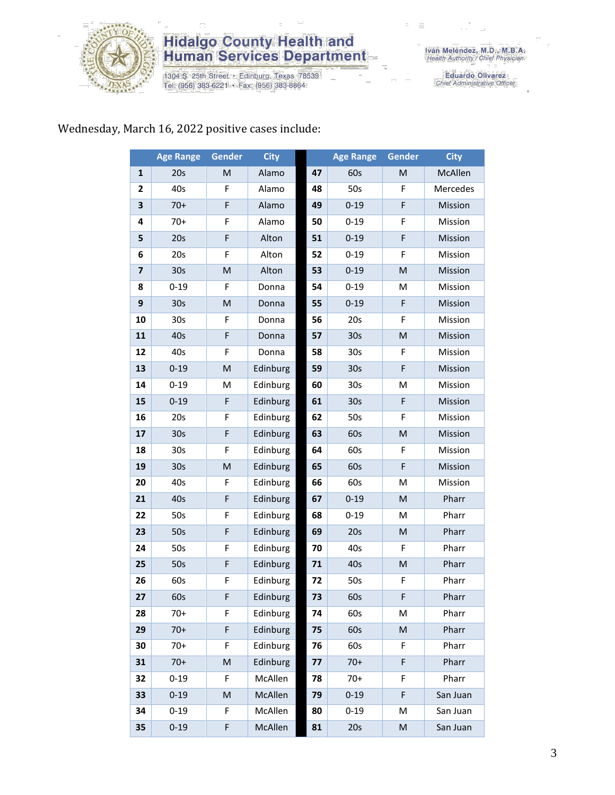

# **Hidalgo County Health and<br>Human Services Department**

1304 S. 25th Street · Edinburg, Texas 78539<br>Tel: (956) 383-6221 · Fax: (956) 383-8864

Eduardo Olivarez<br>Chief Administrative Officer

### Wednesday, March 16, 2022 positive cases include:

|                         | <b>Age Range</b> | Gender | <b>City</b> |    | <b>Age Range</b> | <b>Gender</b>                                                                                              | <b>City</b> |
|-------------------------|------------------|--------|-------------|----|------------------|------------------------------------------------------------------------------------------------------------|-------------|
| $\mathbf{1}$            | 20s              | M      | Alamo       | 47 | 60s              | M                                                                                                          | McAllen     |
| 2                       | 40s              | F      | Alamo       | 48 | 50s              | F                                                                                                          | Mercedes    |
| 3                       | $70+$            | F      | Alamo       | 49 | $0 - 19$         | F                                                                                                          | Mission     |
| 4                       | $70+$            | F      | Alamo       | 50 | $0 - 19$         | F                                                                                                          | Mission     |
| 5                       | 20s              | F      | Alton       | 51 | $0 - 19$         | F                                                                                                          | Mission     |
| 6                       | 20s              | F      | Alton       | 52 | $0 - 19$         | F                                                                                                          | Mission     |
| $\overline{\mathbf{z}}$ | 30s              | M      | Alton       | 53 | $0 - 19$         | M                                                                                                          | Mission     |
| 8                       | $0 - 19$         | F      | Donna       | 54 | $0 - 19$         | M                                                                                                          | Mission     |
| 9                       | 30s              | M      | Donna       | 55 | $0 - 19$         | F                                                                                                          | Mission     |
| 10                      | 30s              | F      | Donna       | 56 | 20s              | F                                                                                                          | Mission     |
| 11                      | 40s              | F      | Donna       | 57 | 30 <sub>s</sub>  | $\mathsf{M}% _{T}=\mathsf{M}_{T}\!\left( a,b\right) ,\ \mathsf{M}_{T}=\mathsf{M}_{T}\!\left( a,b\right) ,$ | Mission     |
| 12                      | 40s              | F      | Donna       | 58 | 30 <sub>s</sub>  | F                                                                                                          | Mission     |
| 13                      | $0 - 19$         | M      | Edinburg    | 59 | 30s              | F                                                                                                          | Mission     |
| 14                      | $0 - 19$         | М      | Edinburg    | 60 | 30 <sub>s</sub>  | M                                                                                                          | Mission     |
| 15                      | $0 - 19$         | F      | Edinburg    | 61 | 30s              | F                                                                                                          | Mission     |
| 16                      | 20s              | F      | Edinburg    | 62 | 50s              | F                                                                                                          | Mission     |
| 17                      | 30s              | F      | Edinburg    | 63 | 60s              | M                                                                                                          | Mission     |
| 18                      | 30s              | F      | Edinburg    | 64 | 60s              | F                                                                                                          | Mission     |
| 19                      | 30s              | M      | Edinburg    | 65 | 60s              | F                                                                                                          | Mission     |
| 20                      | 40s              | F      | Edinburg    | 66 | 60s              | M                                                                                                          | Mission     |
| 21                      | 40s              | F      | Edinburg    | 67 | $0 - 19$         | M                                                                                                          | Pharr       |
| 22                      | 50s              | F      | Edinburg    | 68 | $0 - 19$         | M                                                                                                          | Pharr       |
| 23                      | 50s              | F      | Edinburg    | 69 | 20s              | M                                                                                                          | Pharr       |
| 24                      | 50s              | F      | Edinburg    | 70 | 40s              | F                                                                                                          | Pharr       |
| 25                      | 50s              | F      | Edinburg    | 71 | 40s              | $\mathsf{M}% _{T}=\mathsf{M}_{T}\!\left( a,b\right) ,\ \mathsf{M}_{T}=\mathsf{M}_{T}\!\left( a,b\right) ,$ | Pharr       |
| 26                      | 60s              | F      | Edinburg    | 72 | 50s              | F                                                                                                          | Pharr       |
| 27                      | 60s              | F      | Edinburg    | 73 | 60s              | F                                                                                                          | Pharr       |
| 28                      | $70+$            | F      | Edinburg    | 74 | 60s              | M                                                                                                          | Pharr       |
| 29                      | $70+$            | F      | Edinburg    | 75 | 60s              | M                                                                                                          | Pharr       |
| 30                      | $70+$            | F      | Edinburg    | 76 | 60s              | F                                                                                                          | Pharr       |
| 31                      | $70+$            | M      | Edinburg    | 77 | $70+$            | F                                                                                                          | Pharr       |
| 32                      | $0 - 19$         | F      | McAllen     | 78 | $70+$            | F                                                                                                          | Pharr       |
| 33                      | $0 - 19$         | M      | McAllen     | 79 | $0 - 19$         | F                                                                                                          | San Juan    |
| 34                      | $0 - 19$         | F      | McAllen     | 80 | $0 - 19$         | M                                                                                                          | San Juan    |
| 35                      | $0 - 19$         | F      | McAllen     | 81 | 20s              | M                                                                                                          | San Juan    |